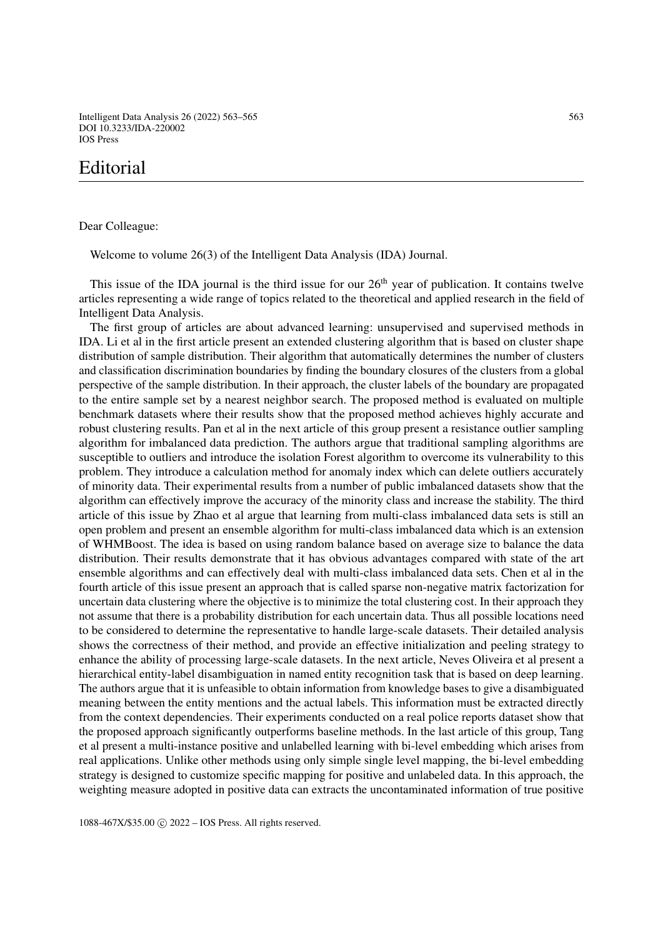Intelligent Data Analysis 26 (2022) 563–565 563 DOI 10.3233/IDA-220002 IOS Press

## Editorial

Dear Colleague:

Welcome to volume 26(3) of the Intelligent Data Analysis (IDA) Journal.

This issue of the IDA journal is the third issue for our  $26<sup>th</sup>$  year of publication. It contains twelve articles representing a wide range of topics related to the theoretical and applied research in the field of Intelligent Data Analysis.

The first group of articles are about advanced learning: unsupervised and supervised methods in IDA. Li et al in the first article present an extended clustering algorithm that is based on cluster shape distribution of sample distribution. Their algorithm that automatically determines the number of clusters and classification discrimination boundaries by finding the boundary closures of the clusters from a global perspective of the sample distribution. In their approach, the cluster labels of the boundary are propagated to the entire sample set by a nearest neighbor search. The proposed method is evaluated on multiple benchmark datasets where their results show that the proposed method achieves highly accurate and robust clustering results. Pan et al in the next article of this group present a resistance outlier sampling algorithm for imbalanced data prediction. The authors argue that traditional sampling algorithms are susceptible to outliers and introduce the isolation Forest algorithm to overcome its vulnerability to this problem. They introduce a calculation method for anomaly index which can delete outliers accurately of minority data. Their experimental results from a number of public imbalanced datasets show that the algorithm can effectively improve the accuracy of the minority class and increase the stability. The third article of this issue by Zhao et al argue that learning from multi-class imbalanced data sets is still an open problem and present an ensemble algorithm for multi-class imbalanced data which is an extension of WHMBoost. The idea is based on using random balance based on average size to balance the data distribution. Their results demonstrate that it has obvious advantages compared with state of the art ensemble algorithms and can effectively deal with multi-class imbalanced data sets. Chen et al in the fourth article of this issue present an approach that is called sparse non-negative matrix factorization for uncertain data clustering where the objective is to minimize the total clustering cost. In their approach they not assume that there is a probability distribution for each uncertain data. Thus all possible locations need to be considered to determine the representative to handle large-scale datasets. Their detailed analysis shows the correctness of their method, and provide an effective initialization and peeling strategy to enhance the ability of processing large-scale datasets. In the next article, Neves Oliveira et al present a hierarchical entity-label disambiguation in named entity recognition task that is based on deep learning. The authors argue that it is unfeasible to obtain information from knowledge bases to give a disambiguated meaning between the entity mentions and the actual labels. This information must be extracted directly from the context dependencies. Their experiments conducted on a real police reports dataset show that the proposed approach significantly outperforms baseline methods. In the last article of this group, Tang et al present a multi-instance positive and unlabelled learning with bi-level embedding which arises from real applications. Unlike other methods using only simple single level mapping, the bi-level embedding strategy is designed to customize specific mapping for positive and unlabeled data. In this approach, the weighting measure adopted in positive data can extracts the uncontaminated information of true positive

1088-467X/\$35.00 © 2022 - IOS Press. All rights reserved.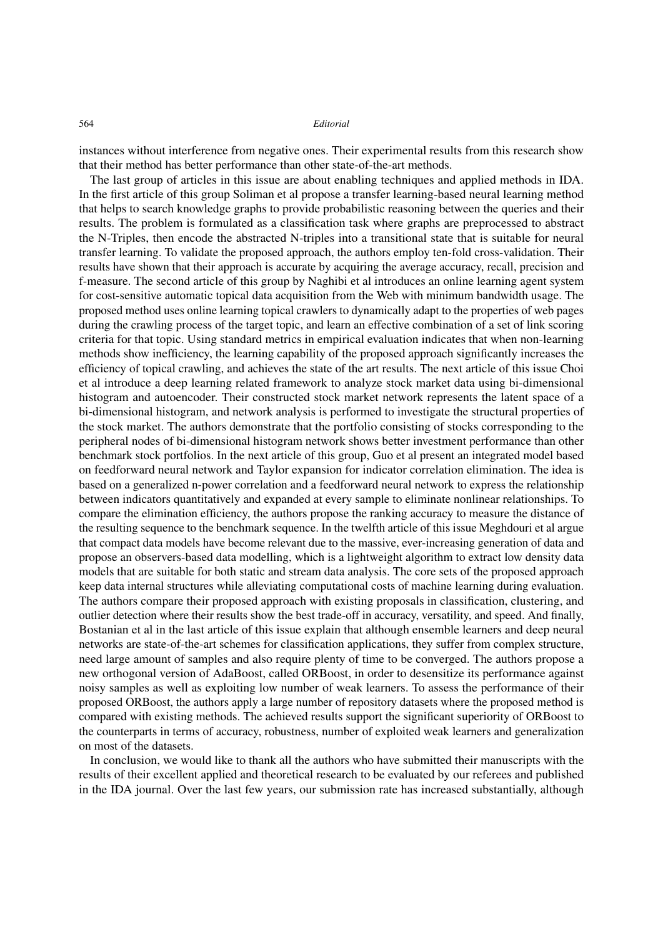## 564 *Editorial*

instances without interference from negative ones. Their experimental results from this research show that their method has better performance than other state-of-the-art methods.

The last group of articles in this issue are about enabling techniques and applied methods in IDA. In the first article of this group Soliman et al propose a transfer learning-based neural learning method that helps to search knowledge graphs to provide probabilistic reasoning between the queries and their results. The problem is formulated as a classification task where graphs are preprocessed to abstract the N-Triples, then encode the abstracted N-triples into a transitional state that is suitable for neural transfer learning. To validate the proposed approach, the authors employ ten-fold cross-validation. Their results have shown that their approach is accurate by acquiring the average accuracy, recall, precision and f-measure. The second article of this group by Naghibi et al introduces an online learning agent system for cost-sensitive automatic topical data acquisition from the Web with minimum bandwidth usage. The proposed method uses online learning topical crawlers to dynamically adapt to the properties of web pages during the crawling process of the target topic, and learn an effective combination of a set of link scoring criteria for that topic. Using standard metrics in empirical evaluation indicates that when non-learning methods show inefficiency, the learning capability of the proposed approach significantly increases the efficiency of topical crawling, and achieves the state of the art results. The next article of this issue Choi et al introduce a deep learning related framework to analyze stock market data using bi-dimensional histogram and autoencoder. Their constructed stock market network represents the latent space of a bi-dimensional histogram, and network analysis is performed to investigate the structural properties of the stock market. The authors demonstrate that the portfolio consisting of stocks corresponding to the peripheral nodes of bi-dimensional histogram network shows better investment performance than other benchmark stock portfolios. In the next article of this group, Guo et al present an integrated model based on feedforward neural network and Taylor expansion for indicator correlation elimination. The idea is based on a generalized n-power correlation and a feedforward neural network to express the relationship between indicators quantitatively and expanded at every sample to eliminate nonlinear relationships. To compare the elimination efficiency, the authors propose the ranking accuracy to measure the distance of the resulting sequence to the benchmark sequence. In the twelfth article of this issue Meghdouri et al argue that compact data models have become relevant due to the massive, ever-increasing generation of data and propose an observers-based data modelling, which is a lightweight algorithm to extract low density data models that are suitable for both static and stream data analysis. The core sets of the proposed approach keep data internal structures while alleviating computational costs of machine learning during evaluation. The authors compare their proposed approach with existing proposals in classification, clustering, and outlier detection where their results show the best trade-off in accuracy, versatility, and speed. And finally, Bostanian et al in the last article of this issue explain that although ensemble learners and deep neural networks are state-of-the-art schemes for classification applications, they suffer from complex structure, need large amount of samples and also require plenty of time to be converged. The authors propose a new orthogonal version of AdaBoost, called ORBoost, in order to desensitize its performance against noisy samples as well as exploiting low number of weak learners. To assess the performance of their proposed ORBoost, the authors apply a large number of repository datasets where the proposed method is compared with existing methods. The achieved results support the significant superiority of ORBoost to the counterparts in terms of accuracy, robustness, number of exploited weak learners and generalization on most of the datasets.

In conclusion, we would like to thank all the authors who have submitted their manuscripts with the results of their excellent applied and theoretical research to be evaluated by our referees and published in the IDA journal. Over the last few years, our submission rate has increased substantially, although